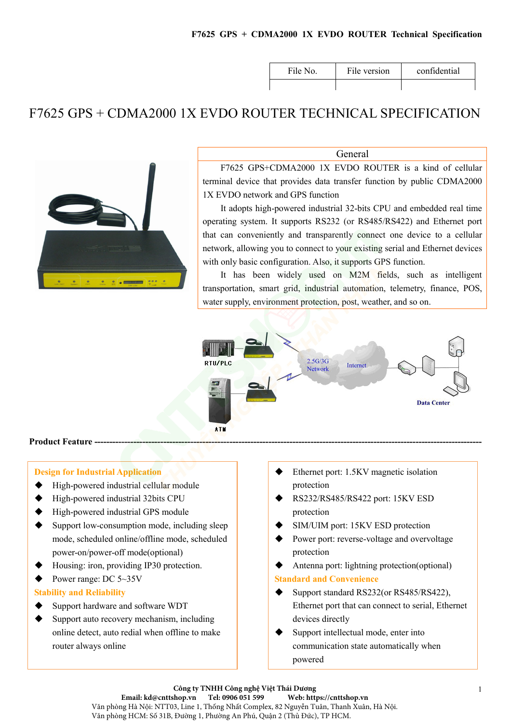| File No. | File version | confidential |
|----------|--------------|--------------|
|          |              |              |

# F7625 GPS + CDMA2000 1X EVDO ROUTER TECHNICAL SPECIFICATION



General

F7625 GPS+CDMA2000 1X EVDO ROUTER is a kind of cellular terminal device that provides data transfer function by public CDMA2000 1X EVDO network and GPS function

It adopts high-powered industrial 32-bits CPU and embedded real time operating system. It supports RS232 (or RS485/RS422) and Ethernet port that can conveniently and transparently connect one device to a cellular network, allowing you to connect to your existing serial and Ethernet devices with only basic configuration. Also, it supports GPS function.

It has been widely used on M2M fields, such as intelligent transportation, smart grid, industrial automation, telemetry, finance, POS, water supply, environment protection, post, weather, and so on.



#### Product Feature --

#### Design for Industrial Application

- High-powered industrial cellular module
- High-powered industrial 32bits CPU
- ◆ High-powered industrial GPS module
- $\blacklozenge$  Support low-consumption mode, including sleep mode, scheduled online/offline mode, scheduled power-on/power-off mode(optional)
- Housing: iron, providing IP30 protection.
- Power range: DC  $5\text{--}35V$

#### Stability and Reliability

- Support hardware and software WDT
- Support auto recovery mechanism, including online detect, auto redial when offline to make router always online
- Ethernet port: 1.5KV magnetic isolation protection
- RS232/RS485/RS422 port: 15KV ESD protection
- SIM/UIM port: 15KV ESD protection
- Power port: reverse-voltage and overvoltage protection
- Antenna port: lightning protection(optional)

#### Standard and Convenience

- Support standard RS232(or RS485/RS422), Ethernet port that can connect to serial, Ethernet devices directly
- Support intellectual mode, enter into communication state automatically when powered

**Công ty TNHH Công nghệ Việt Thái Dương Email: kd@cnttshop.vn Tel: 0906 051 599 Web: https://cnttshop.vn** Văn phòng Hà Nội: NTT03, Line 1, Thống Nhất Complex, 82 Nguyễn Tuân, Thanh Xuân, Hà Nội. Văn phòng HCM: Số 31B, Đường 1, Phường An Phú, Quận 2 (Thủ Đức), TP HCM.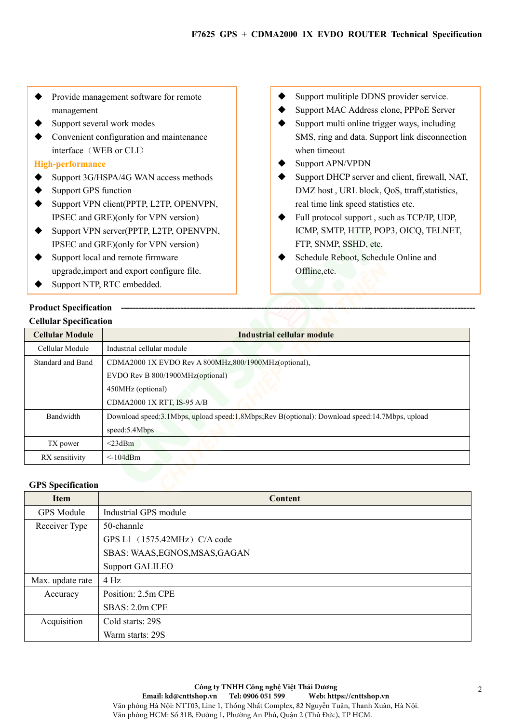- Provide management software for remote management
- Support several work modes
- Convenient configuration and maintenance interface (WEB or CLI)

# High-performance

- ◆ Support 3G/HSPA/4G WAN access methods
- Support GPS function
- ◆ Support VPN client(PPTP, L2TP, OPENVPN, IPSEC and GRE)(only for VPN version)
- ◆ Support VPN server(PPTP, L2TP, OPENVPN, IPSEC and GRE)(only for VPN version)
- Support local and remote firmware upgrade,import and export configure file.
- ◆ Support NTP, RTC embedded.
- Support mulitiple DDNS provider service.
- Support MAC Address clone, PPPoE Server
- $\blacklozenge$  Support multi online trigger ways, including SMS, ring and data. Support link disconnection when timeout
- Support APN/VPDN
- Support DHCP server and client, firewall, NAT, DMZ host , URL block, QoS, ttraff,statistics, real time link speed statistics etc.
- ◆ Full protocol support, such as TCP/IP, UDP, ICMP, SMTP, HTTP, POP3, OICQ, TELNET, FTP, SNMP, SSHD, etc.
- Schedule Reboot, Schedule Online and Offline,etc.

# Product Specification Cellular Specification

| <b>Cellular Module</b> | Industrial cellular module                                                                    |  |
|------------------------|-----------------------------------------------------------------------------------------------|--|
| Cellular Module        | Industrial cellular module                                                                    |  |
| Standard and Band      | CDMA2000 1X EVDO Rev A 800MHz, 800/1900MHz(optional),                                         |  |
|                        | EVDO Rev B 800/1900MHz(optional)                                                              |  |
|                        | 450MHz (optional)                                                                             |  |
|                        | CDMA2000 1X RTT, IS-95 A/B                                                                    |  |
| Bandwidth              | Download speed:3.1Mbps, upload speed:1.8Mbps;Rev B(optional): Download speed:14.7Mbps, upload |  |
|                        | speed:5.4Mbps                                                                                 |  |
| TX power               | $<$ 23dBm                                                                                     |  |
| RX sensitivity         | $\leq$ -104dBm                                                                                |  |

# GPS Specification

| <b>Item</b>       | Content                        |
|-------------------|--------------------------------|
| <b>GPS</b> Module | Industrial GPS module          |
| Receiver Type     | 50-channle                     |
|                   | GPS L1 (1575.42MHz) C/A code   |
|                   | SBAS: WAAS, EGNOS, MSAS, GAGAN |
|                   | <b>Support GALILEO</b>         |
| Max. update rate  | $4$ Hz                         |
| Accuracy          | Position: 2.5m CPE             |
|                   | $SBAS: 2.0m$ CPE               |
| Acquisition       | Cold starts: 29S               |
|                   | Warm starts: 29S               |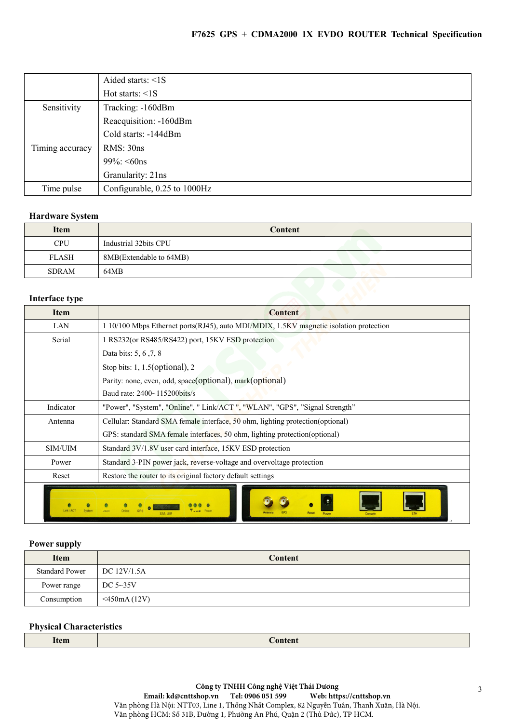# F7625 GPS + CDMA2000 1X EVDO ROUTER Technical Specification

|                 | Aided starts: $\leq 1$ S     |
|-----------------|------------------------------|
|                 | Hot starts: $\leq 1$ S       |
| Sensitivity     | Tracking: -160dBm            |
|                 | Reacquisition: -160dBm       |
|                 | Cold starts: -144dBm         |
| Timing accuracy | RMS: 30ns                    |
|                 | $99\%$ : <60ns               |
|                 | Granularity: 21ns            |
| Time pulse      | Configurable, 0.25 to 1000Hz |

### Hardware System

| <b>Item</b>  | Content                 |
|--------------|-------------------------|
| <b>CPU</b>   | Industrial 32bits CPU   |
| <b>FLASH</b> | 8MB(Extendable to 64MB) |
| <b>SDRAM</b> | 64MB                    |

## Interface type

| <b>Item</b>    | <b>Content</b>                                                                         |
|----------------|----------------------------------------------------------------------------------------|
| LAN            | 1 10/100 Mbps Ethernet ports(RJ45), auto MDI/MDIX, 1.5KV magnetic isolation protection |
| Serial         | 1 RS232(or RS485/RS422) port, 15KV ESD protection                                      |
|                | Data bits: 5, 6, 7, 8                                                                  |
|                | Stop bits: $1, 1.5$ (optional), $2$                                                    |
|                | Parity: none, even, odd, space(optional), mark(optional)                               |
|                | Baud rate: 2400~115200bits/s                                                           |
| Indicator      | "Power", "System", "Online", "Link/ACT", "WLAN", "GPS", "Signal Strength"              |
| Antenna        | Cellular: Standard SMA female interface, 50 ohm, lighting protection(optional)         |
|                | GPS: standard SMA female interfaces, 50 ohm, lighting protection(optional)             |
| <b>SIM/UIM</b> | Standard 3V/1.8V user card interface, 15KV ESD protection                              |
| Power          | Standard 3-PIN power jack, reverse-voltage and overvoltage protection                  |
| Reset          | Restore the router to its original factory default settings                            |
|                |                                                                                        |

#### Power supply

| <b>Item</b>           | Content         |
|-----------------------|-----------------|
| <b>Standard Power</b> | DC 12V/1.5A     |
| Power range           | DC $5\sim35V$   |
| Consumption           | $<$ 450mA (12V) |

# Physical Characteristics

| Item | Content |
|------|---------|
|      |         |